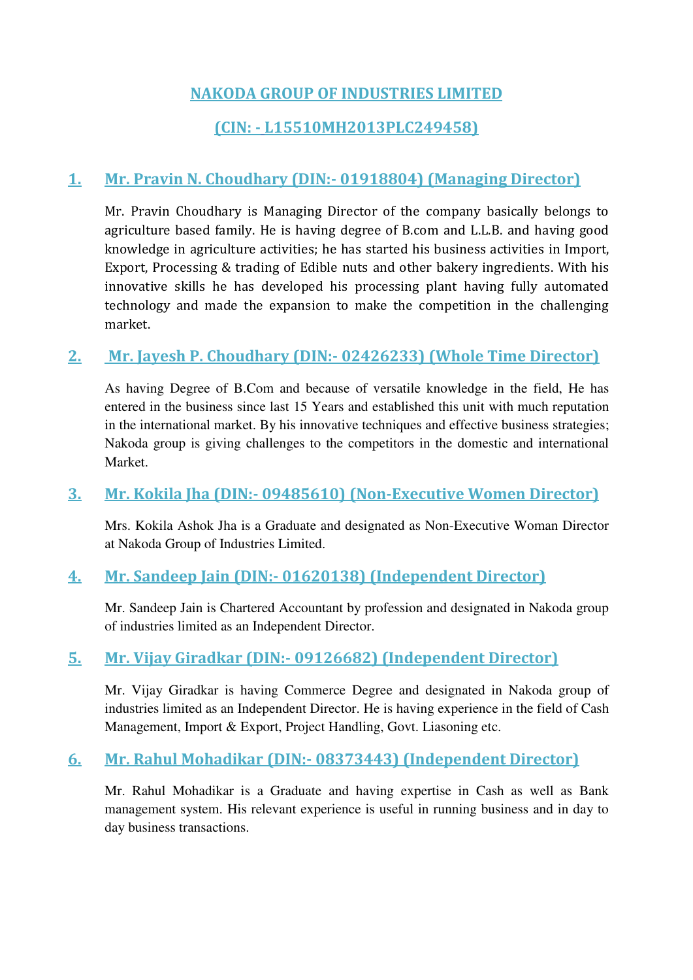#### **NAKODA GROUP OF INDUSTRIES LIMITED**

#### **(CIN: - L15510MH2013PLC249458)**

#### **1. Mr. Pravin N. Choudhary (DIN:- [01918804\)](http://www.mca.gov.in/mcafoportal/companyLLPMasterData.do) (Managing Director)**

Mr. Pravin Choudhary is Managing Director of the company basically belongs to agriculture based family. He is having degree of B.com and L.L.B. and having good knowledge in agriculture activities; he has started his business activities in Import, Export, Processing & trading of Edible nuts and other bakery ingredients. With his innovative skills he has developed his processing plant having fully automated technology and made the expansion to make the competition in the challenging market.

#### **2. Mr. Jayesh P. Choudhary (DIN:- [02426233\)](http://www.mca.gov.in/mcafoportal/companyLLPMasterData.do) (Whole Time Director)**

As having Degree of B.Com and because of versatile knowledge in the field, He has entered in the business since last 15 Years and established this unit with much reputation in the international market. By his innovative techniques and effective business strategies; Nakoda group is giving challenges to the competitors in the domestic and international Market.

#### **3. Mr. Kokila Jha (DIN:- 09485610) (Non-Executive Women Director)**

Mrs. Kokila Ashok Jha is a Graduate and designated as Non-Executive Woman Director at Nakoda Group of Industries Limited.

#### **4. Mr. Sandeep Jain (DIN:- [01620138\)](http://www.mca.gov.in/mcafoportal/companyLLPMasterData.do) (Independent Director)**

Mr. Sandeep Jain is Chartered Accountant by profession and designated in Nakoda group of industries limited as an Independent Director.

#### **5. Mr. Vijay Giradkar (DIN:- [09126682\)](http://www.mca.gov.in/mcafoportal/companyLLPMasterData.do) (Independent Director)**

Mr. Vijay Giradkar is having Commerce Degree and designated in Nakoda group of industries limited as an Independent Director. He is having experience in the field of Cash Management, Import & Export, Project Handling, Govt. Liasoning etc.

#### **6. Mr. Rahul Mohadikar (DIN:- [08373443\)](http://www.mca.gov.in/mcafoportal/companyLLPMasterData.do) (Independent Director)**

Mr. Rahul Mohadikar is a Graduate and having expertise in Cash as well as Bank management system. His relevant experience is useful in running business and in day to day business transactions.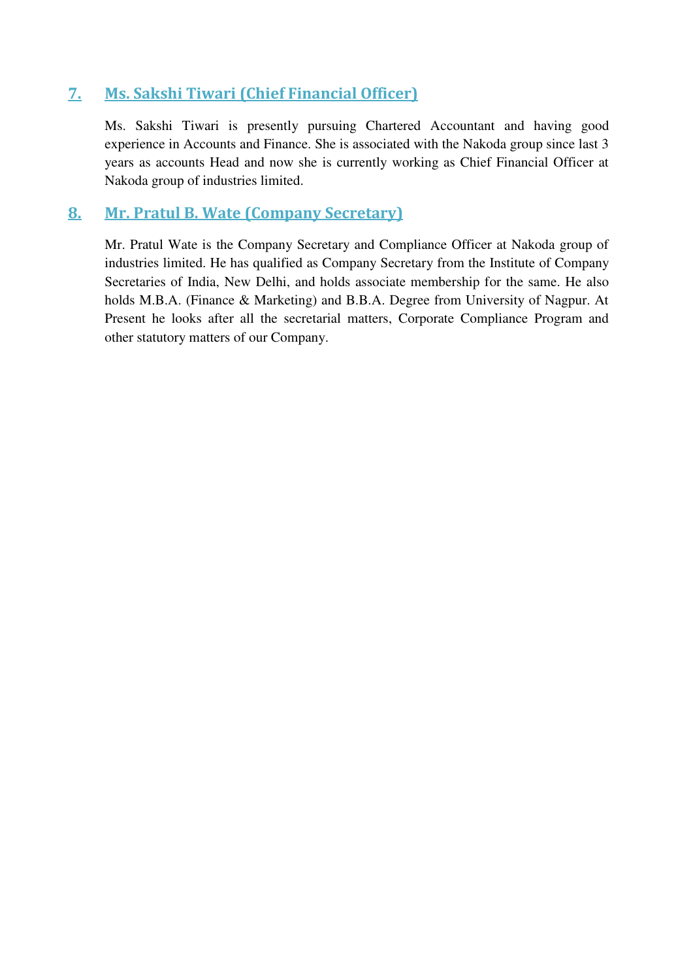#### **7. Ms. Sakshi Tiwari (Chief Financial Officer)**

Ms. Sakshi Tiwari is presently pursuing Chartered Accountant and having good experience in Accounts and Finance. She is associated with the Nakoda group since last 3 years as accounts Head and now she is currently working as Chief Financial Officer at Nakoda group of industries limited.

#### **8. Mr. Pratul B. Wate (Company Secretary)**

Mr. Pratul Wate is the Company Secretary and Compliance Officer at Nakoda group of industries limited. He has qualified as Company Secretary from the Institute of Company Secretaries of India, New Delhi, and holds associate membership for the same. He also holds M.B.A. (Finance & Marketing) and B.B.A. Degree from University of Nagpur. At Present he looks after all the secretarial matters, Corporate Compliance Program and other statutory matters of our Company.